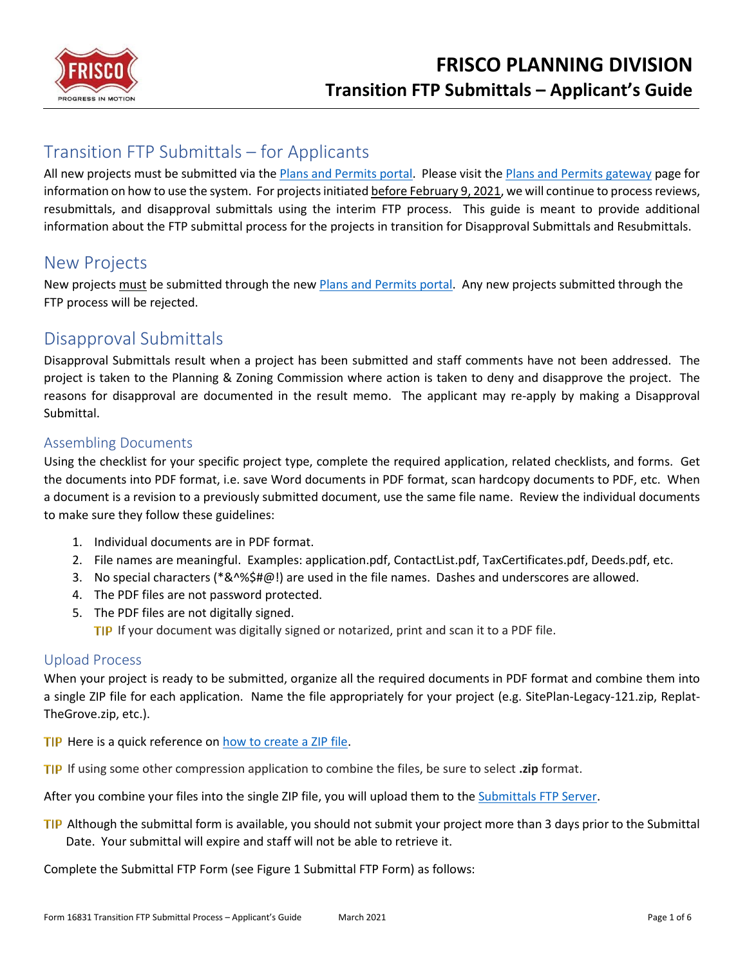

# Transition FTP Submittals – for Applicants

All new projects must be submitted via the *Plans and Permits portal*. Please visit the *Plans and Permits gateway* page for information on how to use the system. For projects initiated before February 9, 2021, we will continue to process reviews, resubmittals, and disapproval submittals using the interim FTP process. This guide is meant to provide additional information about the FTP submittal process for the projects in transition for Disapproval Submittals and Resubmittals.

## New Projects

New projects must be submitted through the new Plans and Permits portal. Any new projects submitted through the FTP process will be rejected.

## Disapproval Submittals

Disapproval Submittals result when a project has been submitted and staff comments have not been addressed. The project is taken to the Planning & Zoning Commission where action is taken to deny and disapprove the project. The reasons for disapproval are documented in the result memo. The applicant may re-apply by making a Disapproval Submittal.

### Assembling Documents

Using the checklist for your specific project type, complete the required application, related checklists, and forms. Get the documents into PDF format, i.e. save Word documents in PDF format, scan hardcopy documents to PDF, etc. When a document is a revision to a previously submitted document, use the same file name. Review the individual documents to make sure they follow these guidelines:

- 1. Individual documents are in PDF format.
- 2. File names are meaningful. Examples: application.pdf, ContactList.pdf, TaxCertificates.pdf, Deeds.pdf, etc.
- 3. No special characters (\*&^%\$#@!) are used in the file names. Dashes and underscores are allowed.
- 4. The PDF files are not password protected.
- 5. The PDF files are not digitally signed.

TIP If your document was digitally signed or notarized, print and scan it to a PDF file.

#### Upload Process

When your project is ready to be submitted, organize all the required documents in PDF format and combine them into a single ZIP file for each application. Name the file appropriately for your project (e.g. SitePlan-Legacy-121.zip, Replat-TheGrove.zip, etc.).

- TIP Here is a quick reference o[n how to create a ZIP file.](https://support.microsoft.com/en-gb/help/4028088/windows-zip-and-unzip-files)
- **If IP** If using some other compression application to combine the files, be sure to select **.zip** format.

After you combine your files into the single ZIP file, you will upload them to the [Submittals FTP Server.](https://www15.sendthisfile.com/sendthisfile/custom.jsp?sendthisfilecode=nDxFshK5WTQzozTMfWaZ60ey&balance=8613)

TIP Although the submittal form is available, you should not submit your project more than 3 days prior to the Submittal Date. Your submittal will expire and staff will not be able to retrieve it.

Complete the Submittal FTP Form (see Figure 1 [Submittal FTP Form\)](#page-1-0) as follows: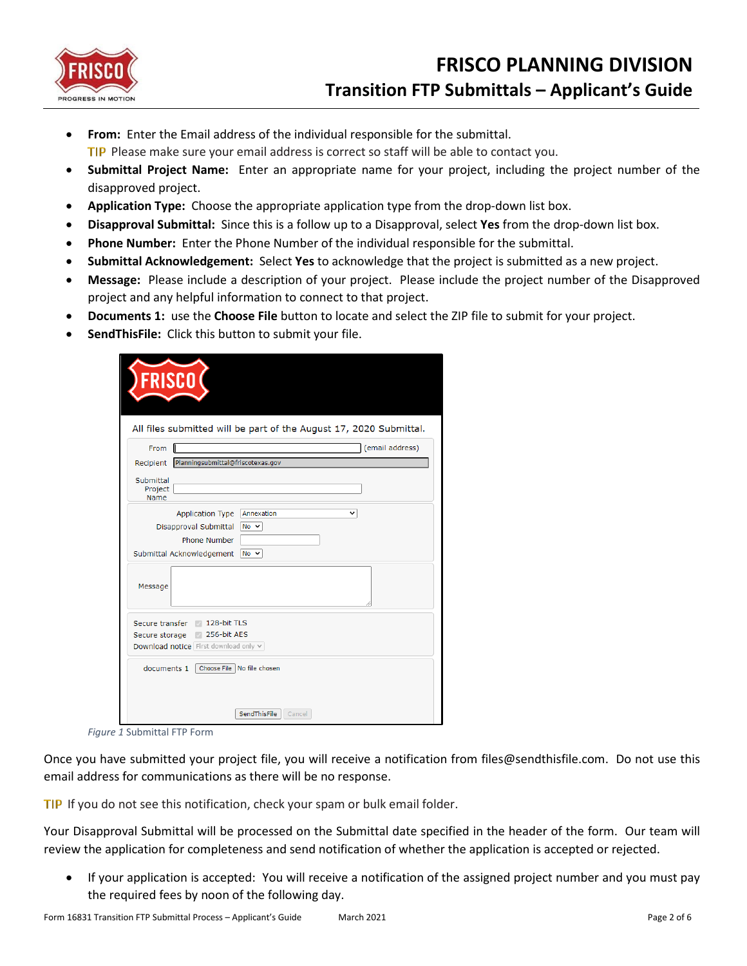

- **From:** Enter the Email address of the individual responsible for the submittal.
	- **TIP** Please make sure your email address is correct so staff will be able to contact you.
- **Submittal Project Name:** Enter an appropriate name for your project, including the project number of the disapproved project.
- **Application Type:** Choose the appropriate application type from the drop-down list box.
- **Disapproval Submittal:** Since this is a follow up to a Disapproval, select **Yes** from the drop-down list box.
- **Phone Number:** Enter the Phone Number of the individual responsible for the submittal.
- **Submittal Acknowledgement:** Select **Yes** to acknowledge that the project is submitted as a new project.
- **Message:** Please include a description of your project. Please include the project number of the Disapproved project and any helpful information to connect to that project.
- **Documents 1:** use the **Choose File** button to locate and select the ZIP file to submit for your project.
- **SendThisFile:** Click this button to submit your file.

|                                            | All files submitted will be part of the August 17, 2020 Submittal. |   |                 |
|--------------------------------------------|--------------------------------------------------------------------|---|-----------------|
| From                                       |                                                                    |   | (email address) |
|                                            | Recipient Planningsubmittal@friscotexas.gov                        |   |                 |
| Submittal<br>Project<br>Name               |                                                                    |   |                 |
|                                            | Annexation<br>Application Type                                     | v |                 |
| Disapproval Submittal                      | $No \sim$                                                          |   |                 |
|                                            | Phone Number                                                       |   |                 |
| Submittal Acknowledgement No ∨             |                                                                    |   |                 |
| Message                                    |                                                                    |   |                 |
|                                            |                                                                    |   |                 |
| Secure transfer                            | 128-bit TLS                                                        |   |                 |
| Secure storage<br>$\sim$                   | 256-bit AES                                                        |   |                 |
| Download notice First download only $\vee$ |                                                                    |   |                 |
| documents 1                                | Choose File   No file chosen                                       |   |                 |

*Figure 1* Submittal FTP Form

<span id="page-1-0"></span>Once you have submitted your project file, you will receive a notification from files@sendthisfile.com. Do not use this email address for communications as there will be no response.

TIP If you do not see this notification, check your spam or bulk email folder.

Your Disapproval Submittal will be processed on the Submittal date specified in the header of the form. Our team will review the application for completeness and send notification of whether the application is accepted or rejected.

• If your application is accepted: You will receive a notification of the assigned project number and you must pay the required fees by noon of the following day.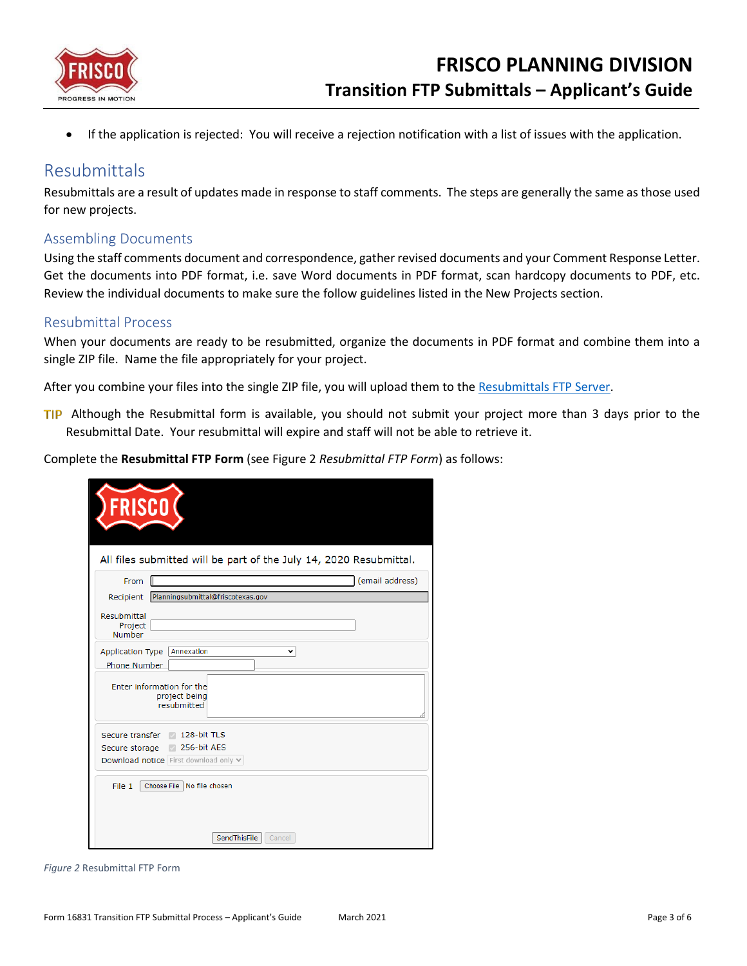

If the application is rejected: You will receive a rejection notification with a list of issues with the application.

### Resubmittals

Resubmittals are a result of updates made in response to staff comments. The steps are generally the same as those used for new projects.

#### Assembling Documents

Using the staff comments document and correspondence, gather revised documents and your Comment Response Letter. Get the documents into PDF format, i.e. save Word documents in PDF format, scan hardcopy documents to PDF, etc. Review the individual documents to make sure the follow guidelines listed in the New Projects section.

#### Resubmittal Process

When your documents are ready to be resubmitted, organize the documents in PDF format and combine them into a single ZIP file. Name the file appropriately for your project.

After you combine your files into the single ZIP file, you will upload them to the [Resubmittals FTP Server.](https://www3.sendthisfile.com/sendthisfile/custom.jsp?sendthisfilecode=Ie6n6i01cTDhtNeqi3qoswHg&balance=9414)

TIP Although the Resubmittal form is available, you should not submit your project more than 3 days prior to the Resubmittal Date. Your resubmittal will expire and staff will not be able to retrieve it.

Complete the **Resubmittal FTP Form** (see Figure 2 *[Resubmittal FTP Form](#page-2-0)*) as follows:

| <b>FRISCO</b>                                                      |
|--------------------------------------------------------------------|
| All files submitted will be part of the July 14, 2020 Resubmittal. |
| (email address)<br>From                                            |
| Planningsubmittal@friscotexas.gov<br>Recipient                     |
| Resubmittal<br>Project<br>Number                                   |
| Annexation<br>Application Type<br>◡                                |
| Phone Number                                                       |
| Enter information for the<br>project being<br>resubmitted          |
| 128-bit TLS<br>Secure transfer                                     |
| 256-bit AES<br>Secure storage<br>M                                 |
| Download notice First download only v                              |
| File 1<br>Choose File<br>No file chosen                            |
|                                                                    |
| SendThisFile<br>Cancel                                             |

<span id="page-2-0"></span>*Figure 2* Resubmittal FTP Form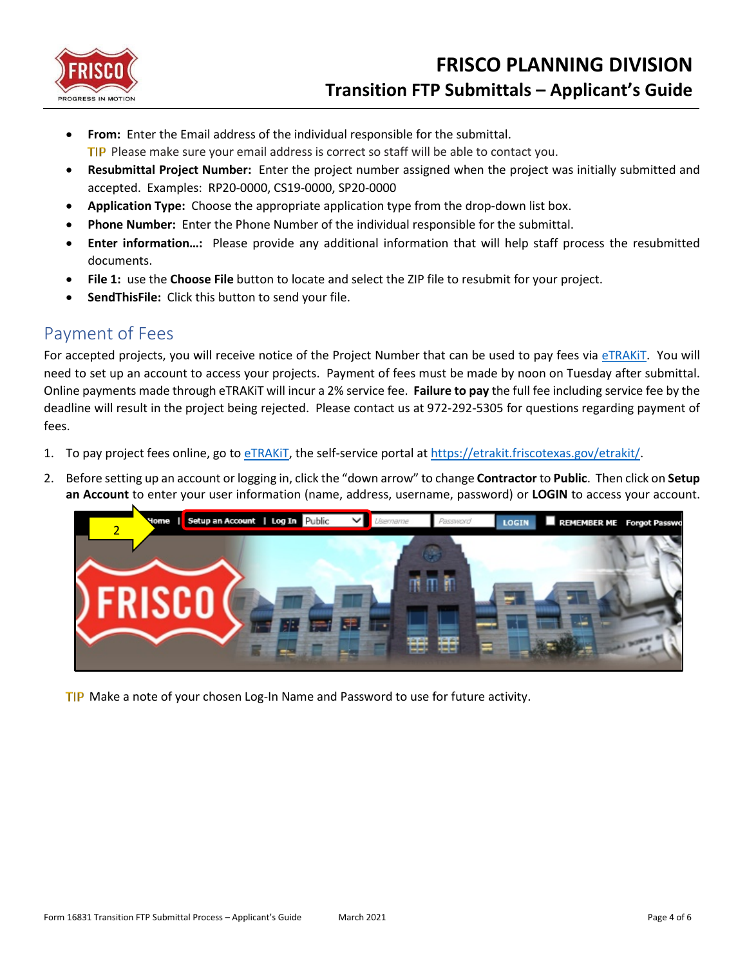

- **From:** Enter the Email address of the individual responsible for the submittal.
	- **TIP** Please make sure your email address is correct so staff will be able to contact you.
- **Resubmittal Project Number:** Enter the project number assigned when the project was initially submitted and accepted. Examples: RP20-0000, CS19-0000, SP20-0000
- **Application Type:** Choose the appropriate application type from the drop-down list box.
- **Phone Number:** Enter the Phone Number of the individual responsible for the submittal.
- **Enter information…:** Please provide any additional information that will help staff process the resubmitted documents.
- **File 1:** use the **Choose File** button to locate and select the ZIP file to resubmit for your project.
- **SendThisFile:** Click this button to send your file.

## Payment of Fees

For accepted projects, you will receive notice of the Project Number that can be used to pay fees via [eTRAKiT.](https://etrakit.friscotexas.gov/etrakit/) You will need to set up an account to access your projects. Payment of fees must be made by noon on Tuesday after submittal. Online payments made through eTRAKiT will incur a 2% service fee. **Failure to pay** the full fee including service fee by the deadline will result in the project being rejected. Please contact us at 972-292-5305 for questions regarding payment of fees.

- 1. To pay project fees online, go to [eTRAKiT,](https://etrakit.friscotexas.gov/etrakit/) the self-service portal at [https://etrakit.friscotexas.gov/etrakit/.](https://etrakit.friscotexas.gov/etrakit/)
- 2. Before setting up an account or logging in, click the "down arrow" to change **Contractor** to **Public**. Then click on **Setup an Account** to enter your user information (name, address, username, password) or **LOGIN** to access your account.



TIP Make a note of your chosen Log-In Name and Password to use for future activity.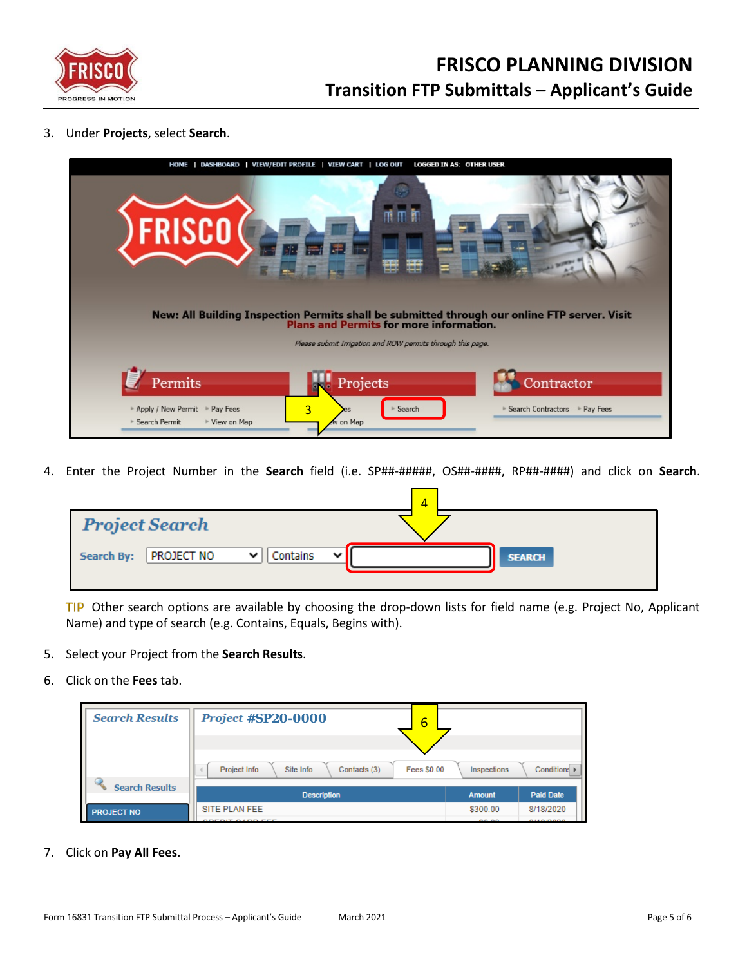

3. Under **Projects**, select **Search**.

| <b>HOME</b>                                                                | DASHBOARD   VIEW/EDIT PROFILE   VIEW CART   LOG OUT<br><b>LOGGED IN AS: OTHER USER</b>                                                  |                                               |
|----------------------------------------------------------------------------|-----------------------------------------------------------------------------------------------------------------------------------------|-----------------------------------------------|
| <b>FRISCO</b>                                                              | 而前<br>m<br>₩                                                                                                                            |                                               |
|                                                                            | New: All Building Inspection Permits shall be submitted through our online FTP server. Visit<br>Plans and Permits for more information. |                                               |
|                                                                            | Please submit Irrigation and ROW permits through this page.                                                                             |                                               |
| Permits<br>Apply / New Permit Pay Fees<br>▶ Search Permit<br>▶ View on Map | Projects<br>3<br>> Search<br>w on Map                                                                                                   | Contractor<br>▶ Search Contractors ▶ Pay Fees |

4. Enter the Project Number in the **Search** field (i.e. SP##-#####, OS##-####, RP##-####) and click on **Search**.

|                                           | $\overline{A}$                  |
|-------------------------------------------|---------------------------------|
| <b>Project Search</b>                     |                                 |
| Contains<br>PROJECT NO<br>Search By:<br>v | $\mathbf{v}$ .<br><b>SEARCH</b> |

TIP Other search options are available by choosing the drop-down lists for field name (e.g. Project No, Applicant Name) and type of search (e.g. Contains, Equals, Begins with).

- 5. Select your Project from the **Search Results**.
- 6. Click on the **Fees** tab.

| <b>Search Results</b> | <b>Project #SP20-0000</b><br>6                                  |                    |                  |
|-----------------------|-----------------------------------------------------------------|--------------------|------------------|
|                       |                                                                 |                    |                  |
|                       | Project Info<br>Site Info<br><b>Fees \$0.00</b><br>Contacts (3) | <b>Inspections</b> | Conditions ▶     |
| <b>Search Results</b> | <b>Description</b>                                              | <b>Amount</b>      | <b>Paid Date</b> |
| <b>PROJECT NO</b>     | SITE PLAN FEE                                                   | \$300.00           | 8/18/2020        |

7. Click on **Pay All Fees**.